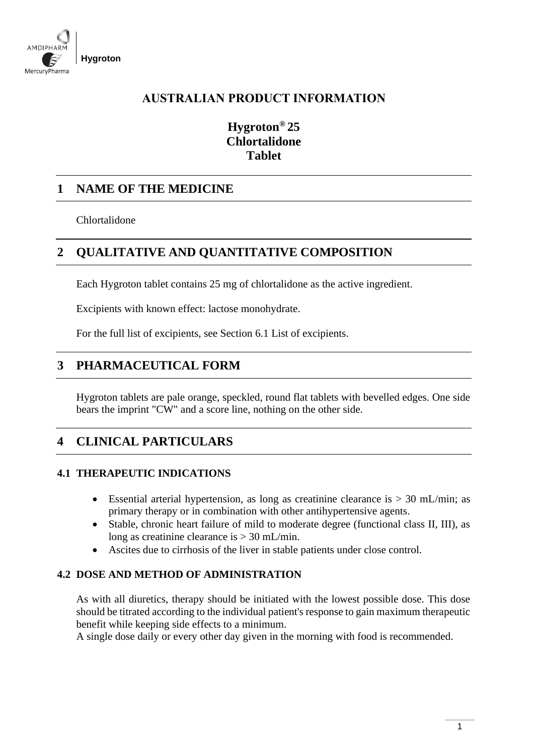

## **AUSTRALIAN PRODUCT INFORMATION**

# **Hygroton® 25 Chlortalidone Tablet**

## **1 NAME OF THE MEDICINE**

Chlortalidone

# **2 QUALITATIVE AND QUANTITATIVE COMPOSITION**

Each Hygroton tablet contains 25 mg of chlortalidone as the active ingredient.

Excipients with known effect: lactose monohydrate.

For the full list of excipients, see Section 6.1 List of excipients.

## **3 PHARMACEUTICAL FORM**

Hygroton tablets are pale orange, speckled, round flat tablets with bevelled edges. One side bears the imprint "CW" and a score line, nothing on the other side.

# **4 CLINICAL PARTICULARS**

## **4.1 THERAPEUTIC INDICATIONS**

- Essential arterial hypertension, as long as creatinine clearance is  $> 30$  mL/min; as primary therapy or in combination with other antihypertensive agents.
- Stable, chronic heart failure of mild to moderate degree (functional class II, III), as long as creatinine clearance is > 30 mL/min.
- Ascites due to cirrhosis of the liver in stable patients under close control.

## **4.2 DOSE AND METHOD OF ADMINISTRATION**

As with all diuretics, therapy should be initiated with the lowest possible dose. This dose should be titrated according to the individual patient's response to gain maximum therapeutic benefit while keeping side effects to a minimum.

A single dose daily or every other day given in the morning with food is recommended.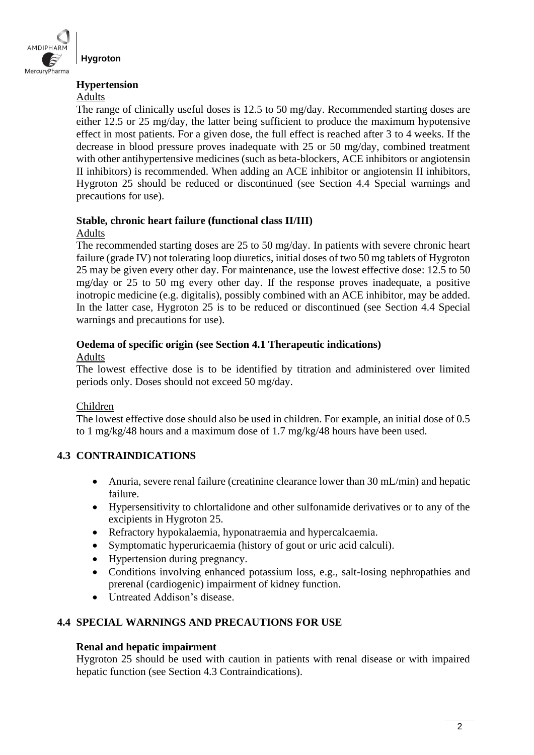

#### **Hypertension**

### Adults

The range of clinically useful doses is 12.5 to 50 mg/day. Recommended starting doses are either 12.5 or 25 mg/day, the latter being sufficient to produce the maximum hypotensive effect in most patients. For a given dose, the full effect is reached after 3 to 4 weeks. If the decrease in blood pressure proves inadequate with 25 or 50 mg/day, combined treatment with other antihypertensive medicines (such as beta-blockers, ACE inhibitors or angiotensin II inhibitors) is recommended. When adding an ACE inhibitor or angiotensin II inhibitors, Hygroton 25 should be reduced or discontinued (see Section 4.4 Special warnings and precautions for use).

## **Stable, chronic heart failure (functional class II/III)**

## Adults

The recommended starting doses are 25 to 50 mg/day. In patients with severe chronic heart failure (grade IV) not tolerating loop diuretics, initial doses of two 50 mg tablets of Hygroton 25 may be given every other day. For maintenance, use the lowest effective dose: 12.5 to 50 mg/day or 25 to 50 mg every other day. If the response proves inadequate, a positive inotropic medicine (e.g. digitalis), possibly combined with an ACE inhibitor, may be added. In the latter case, Hygroton 25 is to be reduced or discontinued (see Section 4.4 Special warnings and precautions for use).

#### **Oedema of specific origin (see Section 4.1 Therapeutic indications)**  Adults

The lowest effective dose is to be identified by titration and administered over limited periods only. Doses should not exceed 50 mg/day.

## Children

The lowest effective dose should also be used in children. For example, an initial dose of 0.5 to 1 mg/kg/48 hours and a maximum dose of 1.7 mg/kg/48 hours have been used.

## **4.3 CONTRAINDICATIONS**

- Anuria, severe renal failure (creatinine clearance lower than 30 mL/min) and hepatic failure.
- Hypersensitivity to chlortalidone and other sulfonamide derivatives or to any of the excipients in Hygroton 25.
- Refractory hypokalaemia, hyponatraemia and hypercalcaemia.
- Symptomatic hyperuricaemia (history of gout or uric acid calculi).
- Hypertension during pregnancy.
- Conditions involving enhanced potassium loss, e.g., salt-losing nephropathies and prerenal (cardiogenic) impairment of kidney function.
- Untreated Addison's disease.

## **4.4 SPECIAL WARNINGS AND PRECAUTIONS FOR USE**

## **Renal and hepatic impairment**

Hygroton 25 should be used with caution in patients with renal disease or with impaired hepatic function (see Section 4.3 Contraindications).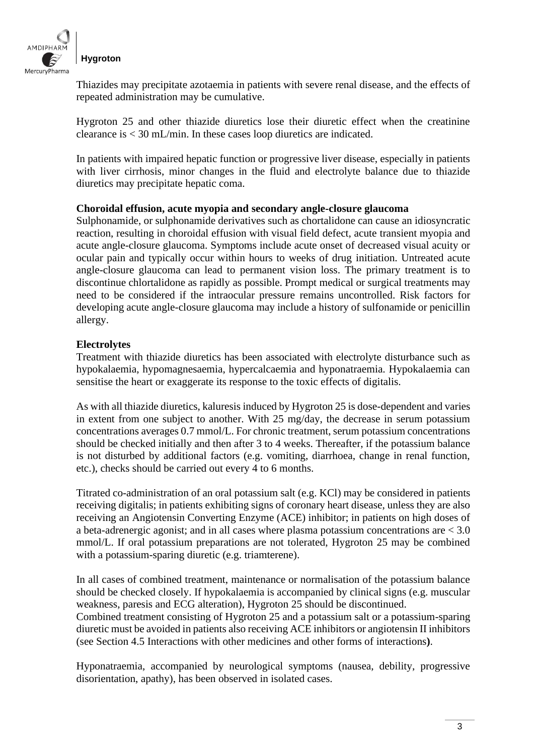

Thiazides may precipitate azotaemia in patients with severe renal disease, and the effects of repeated administration may be cumulative.

Hygroton 25 and other thiazide diuretics lose their diuretic effect when the creatinine clearance is < 30 mL/min. In these cases loop diuretics are indicated.

In patients with impaired hepatic function or progressive liver disease, especially in patients with liver cirrhosis, minor changes in the fluid and electrolyte balance due to thiazide diuretics may precipitate hepatic coma.

#### **Choroidal effusion, acute myopia and secondary angle-closure glaucoma**

Sulphonamide, or sulphonamide derivatives such as chortalidone can cause an idiosyncratic reaction, resulting in choroidal effusion with visual field defect, acute transient myopia and acute angle-closure glaucoma. Symptoms include acute onset of decreased visual acuity or ocular pain and typically occur within hours to weeks of drug initiation. Untreated acute angle-closure glaucoma can lead to permanent vision loss. The primary treatment is to discontinue chlortalidone as rapidly as possible. Prompt medical or surgical treatments may need to be considered if the intraocular pressure remains uncontrolled. Risk factors for developing acute angle-closure glaucoma may include a history of sulfonamide or penicillin allergy.

#### **Electrolytes**

Treatment with thiazide diuretics has been associated with electrolyte disturbance such as hypokalaemia, hypomagnesaemia, hypercalcaemia and hyponatraemia. Hypokalaemia can sensitise the heart or exaggerate its response to the toxic effects of digitalis.

As with all thiazide diuretics, kaluresis induced by Hygroton 25 is dose-dependent and varies in extent from one subject to another. With 25 mg/day, the decrease in serum potassium concentrations averages 0.7 mmol/L. For chronic treatment, serum potassium concentrations should be checked initially and then after 3 to 4 weeks. Thereafter, if the potassium balance is not disturbed by additional factors (e.g. vomiting, diarrhoea, change in renal function, etc.), checks should be carried out every 4 to 6 months.

Titrated co-administration of an oral potassium salt (e.g. KCl) may be considered in patients receiving digitalis; in patients exhibiting signs of coronary heart disease, unless they are also receiving an Angiotensin Converting Enzyme (ACE) inhibitor; in patients on high doses of a beta-adrenergic agonist; and in all cases where plasma potassium concentrations are < 3.0 mmol/L. If oral potassium preparations are not tolerated, Hygroton 25 may be combined with a potassium-sparing diuretic (e.g. triamterene).

In all cases of combined treatment, maintenance or normalisation of the potassium balance should be checked closely. If hypokalaemia is accompanied by clinical signs (e.g. muscular weakness, paresis and ECG alteration), Hygroton 25 should be discontinued.

Combined treatment consisting of Hygroton 25 and a potassium salt or a potassium-sparing diuretic must be avoided in patients also receiving ACE inhibitors or angiotensin II inhibitors (see Section 4.5 Interactions with other medicines and other forms of interactions**)**.

Hyponatraemia, accompanied by neurological symptoms (nausea, debility, progressive disorientation, apathy), has been observed in isolated cases.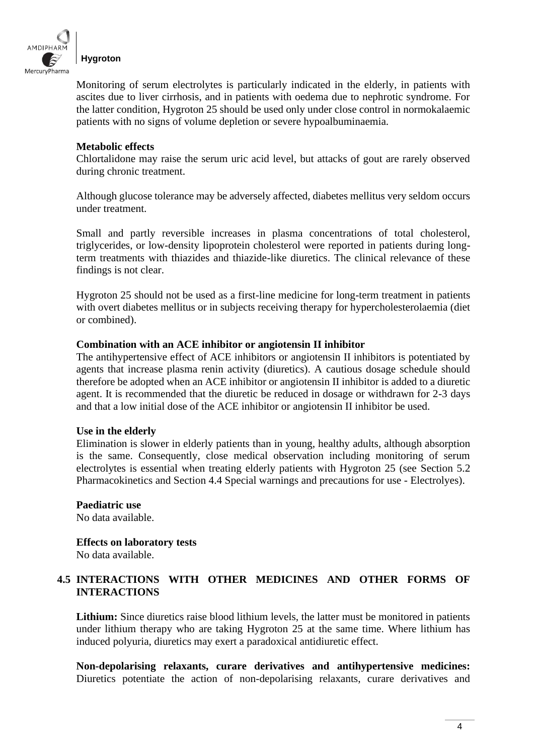

Monitoring of serum electrolytes is particularly indicated in the elderly, in patients with ascites due to liver cirrhosis, and in patients with oedema due to nephrotic syndrome. For the latter condition, Hygroton 25 should be used only under close control in normokalaemic patients with no signs of volume depletion or severe hypoalbuminaemia.

#### **Metabolic effects**

Chlortalidone may raise the serum uric acid level, but attacks of gout are rarely observed during chronic treatment.

Although glucose tolerance may be adversely affected, diabetes mellitus very seldom occurs under treatment.

Small and partly reversible increases in plasma concentrations of total cholesterol, triglycerides, or low-density lipoprotein cholesterol were reported in patients during longterm treatments with thiazides and thiazide-like diuretics. The clinical relevance of these findings is not clear.

Hygroton 25 should not be used as a first-line medicine for long-term treatment in patients with overt diabetes mellitus or in subjects receiving therapy for hypercholesterolaemia (diet or combined).

#### **Combination with an ACE inhibitor or angiotensin II inhibitor**

The antihypertensive effect of ACE inhibitors or angiotensin II inhibitors is potentiated by agents that increase plasma renin activity (diuretics). A cautious dosage schedule should therefore be adopted when an ACE inhibitor or angiotensin II inhibitor is added to a diuretic agent. It is recommended that the diuretic be reduced in dosage or withdrawn for 2-3 days and that a low initial dose of the ACE inhibitor or angiotensin II inhibitor be used.

#### **Use in the elderly**

Elimination is slower in elderly patients than in young, healthy adults, although absorption is the same. Consequently, close medical observation including monitoring of serum electrolytes is essential when treating elderly patients with Hygroton 25 (see Section 5.2 Pharmacokinetics and Section 4.4 Special warnings and precautions for use - Electrolyes).

**Paediatric use** No data available.

**Effects on laboratory tests** No data available.

## **4.5 INTERACTIONS WITH OTHER MEDICINES AND OTHER FORMS OF INTERACTIONS**

**Lithium:** Since diuretics raise blood lithium levels, the latter must be monitored in patients under lithium therapy who are taking Hygroton 25 at the same time. Where lithium has induced polyuria, diuretics may exert a paradoxical antidiuretic effect.

**Non-depolarising relaxants, curare derivatives and antihypertensive medicines:**  Diuretics potentiate the action of non-depolarising relaxants, curare derivatives and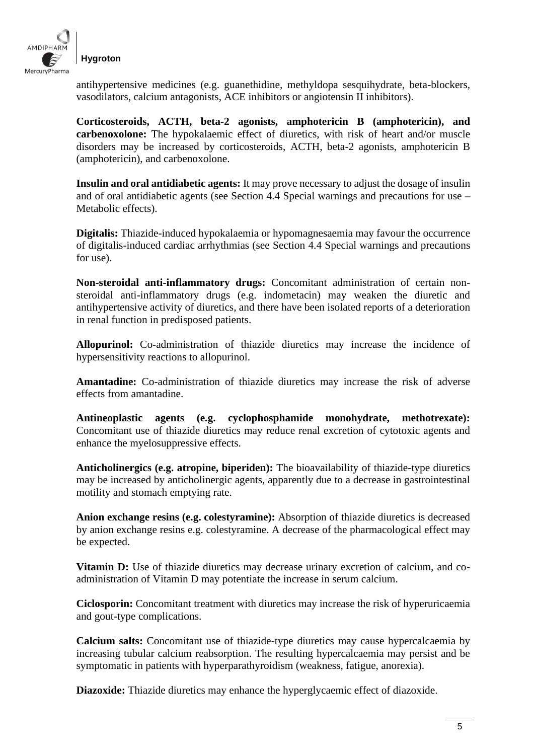

antihypertensive medicines (e.g. guanethidine, methyldopa sesquihydrate, beta-blockers, vasodilators, calcium antagonists, ACE inhibitors or angiotensin II inhibitors).

**Corticosteroids, ACTH, beta-2 agonists, amphotericin B (amphotericin), and carbenoxolone:** The hypokalaemic effect of diuretics, with risk of heart and/or muscle disorders may be increased by corticosteroids, ACTH, beta-2 agonists, amphotericin B (amphotericin), and carbenoxolone.

**Insulin and oral antidiabetic agents:** It may prove necessary to adjust the dosage of insulin and of oral antidiabetic agents (see Section 4.4 Special warnings and precautions for use **–** Metabolic effects).

**Digitalis:** Thiazide-induced hypokalaemia or hypomagnesaemia may favour the occurrence of digitalis-induced cardiac arrhythmias (see Section 4.4 Special warnings and precautions for use).

**Non-steroidal anti-inflammatory drugs:** Concomitant administration of certain nonsteroidal anti-inflammatory drugs (e.g. indometacin) may weaken the diuretic and antihypertensive activity of diuretics, and there have been isolated reports of a deterioration in renal function in predisposed patients.

**Allopurinol:** Co-administration of thiazide diuretics may increase the incidence of hypersensitivity reactions to allopurinol.

**Amantadine:** Co-administration of thiazide diuretics may increase the risk of adverse effects from amantadine.

**Antineoplastic agents (e.g. cyclophosphamide monohydrate, methotrexate):**  Concomitant use of thiazide diuretics may reduce renal excretion of cytotoxic agents and enhance the myelosuppressive effects.

**Anticholinergics (e.g. atropine, biperiden):** The bioavailability of thiazide-type diuretics may be increased by anticholinergic agents, apparently due to a decrease in gastrointestinal motility and stomach emptying rate.

**Anion exchange resins (e.g. colestyramine):** Absorption of thiazide diuretics is decreased by anion exchange resins e.g. colestyramine. A decrease of the pharmacological effect may be expected.

**Vitamin D:** Use of thiazide diuretics may decrease urinary excretion of calcium, and coadministration of Vitamin D may potentiate the increase in serum calcium.

**Ciclosporin:** Concomitant treatment with diuretics may increase the risk of hyperuricaemia and gout-type complications.

**Calcium salts:** Concomitant use of thiazide-type diuretics may cause hypercalcaemia by increasing tubular calcium reabsorption. The resulting hypercalcaemia may persist and be symptomatic in patients with hyperparathyroidism (weakness, fatigue, anorexia).

**Diazoxide:** Thiazide diuretics may enhance the hyperglycaemic effect of diazoxide.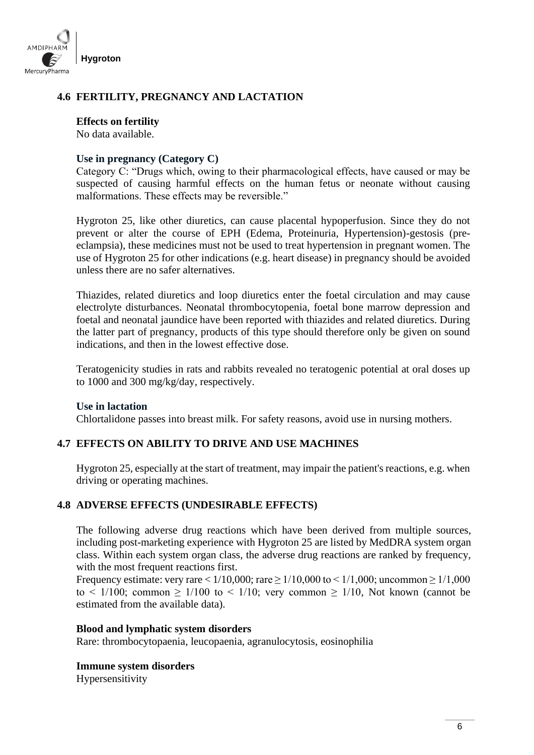

## **4.6 FERTILITY, PREGNANCY AND LACTATION**

#### **Effects on fertility**

No data available.

#### **Use in pregnancy (Category C)**

Category C: "Drugs which, owing to their pharmacological effects, have caused or may be suspected of causing harmful effects on the human fetus or neonate without causing malformations. These effects may be reversible."

Hygroton 25, like other diuretics, can cause placental hypoperfusion. Since they do not prevent or alter the course of EPH (Edema, Proteinuria, Hypertension)-gestosis (preeclampsia), these medicines must not be used to treat hypertension in pregnant women. The use of Hygroton 25 for other indications (e.g. heart disease) in pregnancy should be avoided unless there are no safer alternatives.

Thiazides, related diuretics and loop diuretics enter the foetal circulation and may cause electrolyte disturbances. Neonatal thrombocytopenia, foetal bone marrow depression and foetal and neonatal jaundice have been reported with thiazides and related diuretics. During the latter part of pregnancy, products of this type should therefore only be given on sound indications, and then in the lowest effective dose.

Teratogenicity studies in rats and rabbits revealed no teratogenic potential at oral doses up to 1000 and 300 mg/kg/day, respectively.

#### **Use in lactation**

Chlortalidone passes into breast milk. For safety reasons, avoid use in nursing mothers.

## **4.7 EFFECTS ON ABILITY TO DRIVE AND USE MACHINES**

Hygroton 25, especially at the start of treatment, may impair the patient's reactions, e.g. when driving or operating machines.

## **4.8 ADVERSE EFFECTS (UNDESIRABLE EFFECTS)**

The following adverse drug reactions which have been derived from multiple sources, including post-marketing experience with Hygroton 25 are listed by MedDRA system organ class. Within each system organ class, the adverse drug reactions are ranked by frequency, with the most frequent reactions first.

Frequency estimate: very rare <  $1/10,000$ ; rare  $\ge 1/10,000$  to <  $1/1,000$ ; uncommon  $\ge 1/1,000$ to  $\leq 1/100$ ; common  $\geq 1/100$  to  $\leq 1/10$ ; very common  $\geq 1/10$ , Not known (cannot be estimated from the available data).

#### **Blood and lymphatic system disorders**

Rare: thrombocytopaenia, leucopaenia, agranulocytosis, eosinophilia

**Immune system disorders** 

Hypersensitivity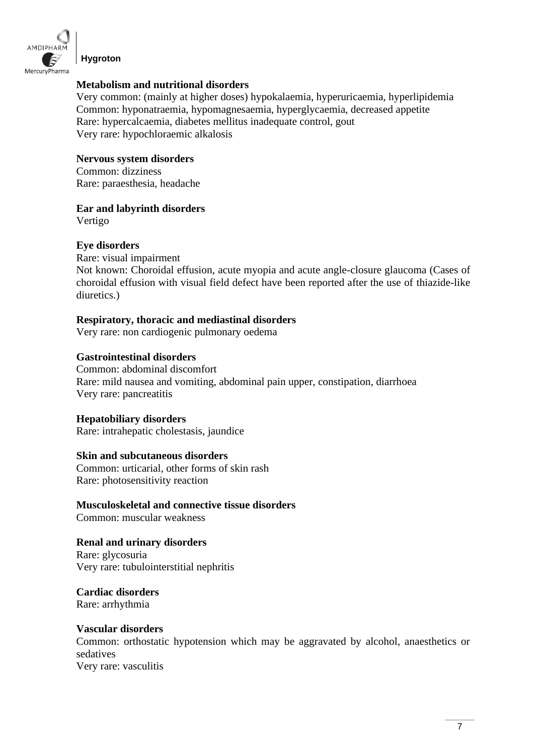

**Hygroton**

#### **Metabolism and nutritional disorders**

Very common: (mainly at higher doses) hypokalaemia, hyperuricaemia, hyperlipidemia Common: hyponatraemia, hypomagnesaemia, hyperglycaemia, decreased appetite Rare: hypercalcaemia, diabetes mellitus inadequate control, gout Very rare: hypochloraemic alkalosis

## **Nervous system disorders**

Common: dizziness Rare: paraesthesia, headache

#### **Ear and labyrinth disorders**

Vertigo

## **Eye disorders**

Rare: visual impairment

Not known: Choroidal effusion, acute myopia and acute angle-closure glaucoma (Cases of choroidal effusion with visual field defect have been reported after the use of thiazide-like diuretics.)

## **Respiratory, thoracic and mediastinal disorders**

Very rare: non cardiogenic pulmonary oedema

#### **Gastrointestinal disorders**

Common: abdominal discomfort Rare: mild nausea and vomiting, abdominal pain upper, constipation, diarrhoea Very rare: pancreatitis

## **Hepatobiliary disorders**

Rare: intrahepatic cholestasis, jaundice

#### **Skin and subcutaneous disorders**

Common: urticarial, other forms of skin rash Rare: photosensitivity reaction

**Musculoskeletal and connective tissue disorders**  Common: muscular weakness

## **Renal and urinary disorders**  Rare: glycosuria

Very rare: tubulointerstitial nephritis

**Cardiac disorders**  Rare: arrhythmia

#### **Vascular disorders**

Common: orthostatic hypotension which may be aggravated by alcohol, anaesthetics or sedatives

Very rare: vasculitis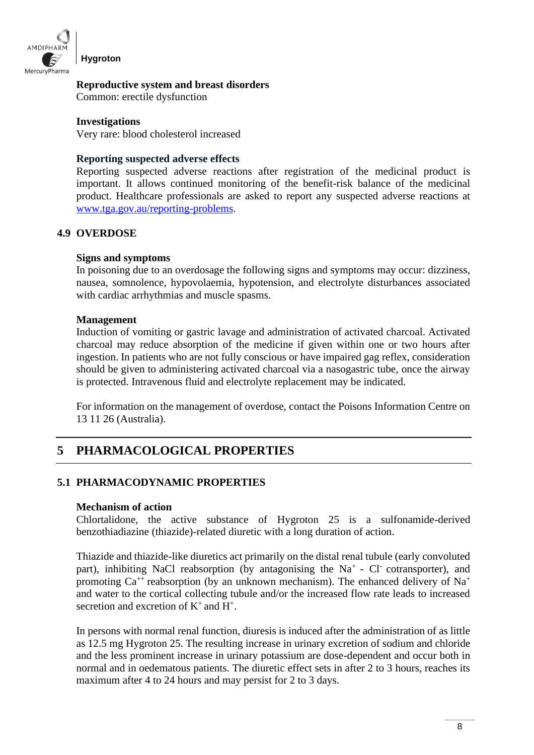

#### **Reproductive system and breast disorders**

Common: erectile dysfunction

#### **Investigations**

Very rare: blood cholesterol increased

#### **Reporting suspected adverse effects**

Reporting suspected adverse reactions after registration of the medicinal product is important. It allows continued monitoring of the benefit-risk balance of the medicinal product. Healthcare professionals are asked to report any suspected adverse reactions at [www.tga.gov.au/reporting-problems.](http://www.tga.gov.au/reporting-problems)

## **4.9 OVERDOSE**

#### **Signs and symptoms**

In poisoning due to an overdosage the following signs and symptoms may occur: dizziness, nausea, somnolence, hypovolaemia, hypotension, and electrolyte disturbances associated with cardiac arrhythmias and muscle spasms.

#### **Management**

Induction of vomiting or gastric lavage and administration of activated charcoal. Activated charcoal may reduce absorption of the medicine if given within one or two hours after ingestion. In patients who are not fully conscious or have impaired gag reflex, consideration should be given to administering activated charcoal via a nasogastric tube, once the airway is protected. Intravenous fluid and electrolyte replacement may be indicated.

For information on the management of overdose, contact the Poisons Information Centre on 13 11 26 (Australia).

# **5 PHARMACOLOGICAL PROPERTIES**

## **5.1 PHARMACODYNAMIC PROPERTIES**

#### **Mechanism of action**

Chlortalidone, the active substance of Hygroton 25 is a sulfonamide-derived benzothiadiazine (thiazide)-related diuretic with a long duration of action.

Thiazide and thiazide-like diuretics act primarily on the distal renal tubule (early convoluted part), inhibiting NaCl reabsorption (by antagonising the Na<sup>+</sup> - Cl<sup>-</sup> cotransporter), and promoting  $Ca^{++}$  reabsorption (by an unknown mechanism). The enhanced delivery of Na<sup>+</sup> and water to the cortical collecting tubule and/or the increased flow rate leads to increased secretion and excretion of  $K^+$  and  $H^+$ .

In persons with normal renal function, diuresis is induced after the administration of as little as 12.5 mg Hygroton 25. The resulting increase in urinary excretion of sodium and chloride and the less prominent increase in urinary potassium are dose-dependent and occur both in normal and in oedematous patients. The diuretic effect sets in after 2 to 3 hours, reaches its maximum after 4 to 24 hours and may persist for 2 to 3 days.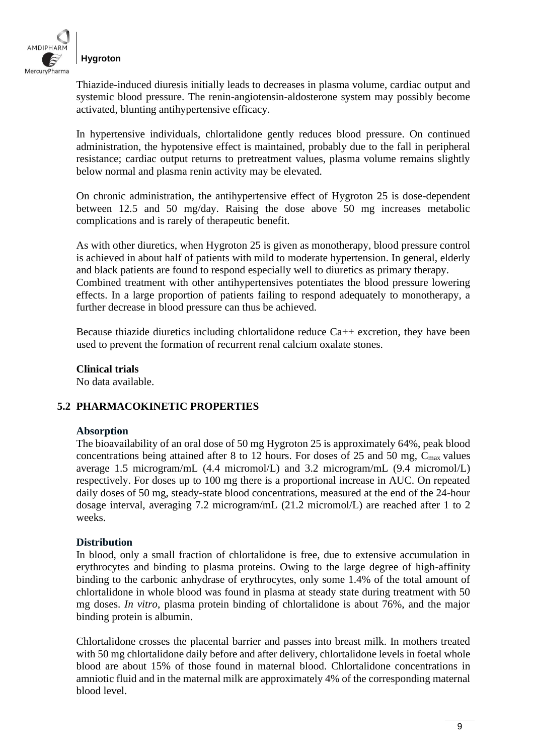

Thiazide-induced diuresis initially leads to decreases in plasma volume, cardiac output and systemic blood pressure. The renin-angiotensin-aldosterone system may possibly become activated, blunting antihypertensive efficacy.

In hypertensive individuals, chlortalidone gently reduces blood pressure. On continued administration, the hypotensive effect is maintained, probably due to the fall in peripheral resistance; cardiac output returns to pretreatment values, plasma volume remains slightly below normal and plasma renin activity may be elevated.

On chronic administration, the antihypertensive effect of Hygroton 25 is dose-dependent between 12.5 and 50 mg/day. Raising the dose above 50 mg increases metabolic complications and is rarely of therapeutic benefit.

As with other diuretics, when Hygroton 25 is given as monotherapy, blood pressure control is achieved in about half of patients with mild to moderate hypertension. In general, elderly and black patients are found to respond especially well to diuretics as primary therapy. Combined treatment with other antihypertensives potentiates the blood pressure lowering effects. In a large proportion of patients failing to respond adequately to monotherapy, a further decrease in blood pressure can thus be achieved.

Because thiazide diuretics including chlortalidone reduce  $Ca++$  excretion, they have been used to prevent the formation of recurrent renal calcium oxalate stones.

**Clinical trials** 

No data available.

#### **5.2 PHARMACOKINETIC PROPERTIES**

#### **Absorption**

The bioavailability of an oral dose of 50 mg Hygroton 25 is approximately 64%, peak blood concentrations being attained after 8 to 12 hours. For doses of 25 and 50 mg,  $C_{\text{max}}$  values average 1.5 microgram/mL (4.4 micromol/L) and 3.2 microgram/mL (9.4 micromol/L) respectively. For doses up to 100 mg there is a proportional increase in AUC. On repeated daily doses of 50 mg, steady-state blood concentrations, measured at the end of the 24-hour dosage interval, averaging 7.2 microgram/mL (21.2 micromol/L) are reached after 1 to 2 weeks.

#### **Distribution**

In blood, only a small fraction of chlortalidone is free, due to extensive accumulation in erythrocytes and binding to plasma proteins. Owing to the large degree of high-affinity binding to the carbonic anhydrase of erythrocytes, only some 1.4% of the total amount of chlortalidone in whole blood was found in plasma at steady state during treatment with 50 mg doses. *In vitro*, plasma protein binding of chlortalidone is about 76%, and the major binding protein is albumin.

Chlortalidone crosses the placental barrier and passes into breast milk. In mothers treated with 50 mg chlortalidone daily before and after delivery, chlortalidone levels in foetal whole blood are about 15% of those found in maternal blood. Chlortalidone concentrations in amniotic fluid and in the maternal milk are approximately 4% of the corresponding maternal blood level.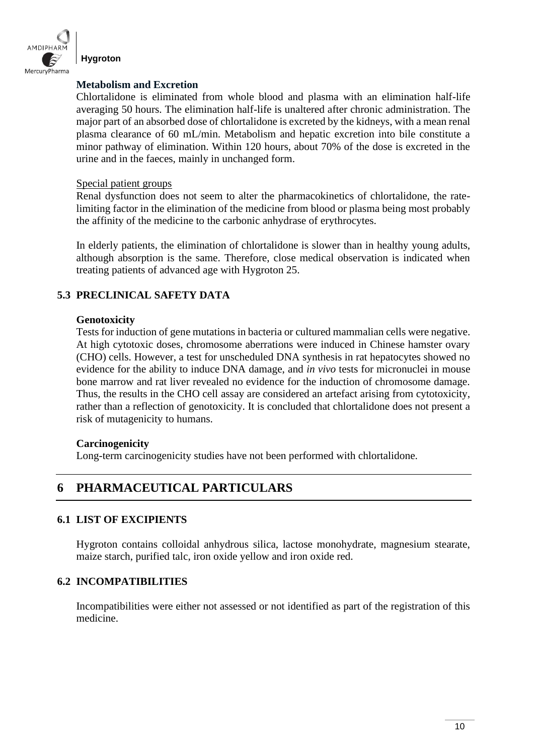

**Hygroton**

#### **Metabolism and Excretion**

Chlortalidone is eliminated from whole blood and plasma with an elimination half-life averaging 50 hours. The elimination half-life is unaltered after chronic administration. The major part of an absorbed dose of chlortalidone is excreted by the kidneys, with a mean renal plasma clearance of 60 mL/min. Metabolism and hepatic excretion into bile constitute a minor pathway of elimination. Within 120 hours, about 70% of the dose is excreted in the urine and in the faeces, mainly in unchanged form.

#### Special patient groups

Renal dysfunction does not seem to alter the pharmacokinetics of chlortalidone, the ratelimiting factor in the elimination of the medicine from blood or plasma being most probably the affinity of the medicine to the carbonic anhydrase of erythrocytes.

In elderly patients, the elimination of chlortalidone is slower than in healthy young adults, although absorption is the same. Therefore, close medical observation is indicated when treating patients of advanced age with Hygroton 25.

## **5.3 PRECLINICAL SAFETY DATA**

#### **Genotoxicity**

Tests for induction of gene mutations in bacteria or cultured mammalian cells were negative. At high cytotoxic doses, chromosome aberrations were induced in Chinese hamster ovary (CHO) cells. However, a test for unscheduled DNA synthesis in rat hepatocytes showed no evidence for the ability to induce DNA damage, and *in vivo* tests for micronuclei in mouse bone marrow and rat liver revealed no evidence for the induction of chromosome damage. Thus, the results in the CHO cell assay are considered an artefact arising from cytotoxicity, rather than a reflection of genotoxicity. It is concluded that chlortalidone does not present a risk of mutagenicity to humans.

#### **Carcinogenicity**

Long-term carcinogenicity studies have not been performed with chlortalidone.

## **6 PHARMACEUTICAL PARTICULARS**

#### **6.1 LIST OF EXCIPIENTS**

Hygroton contains colloidal anhydrous silica, lactose monohydrate, magnesium stearate, maize starch, purified talc, iron oxide yellow and iron oxide red.

#### **6.2 INCOMPATIBILITIES**

Incompatibilities were either not assessed or not identified as part of the registration of this medicine.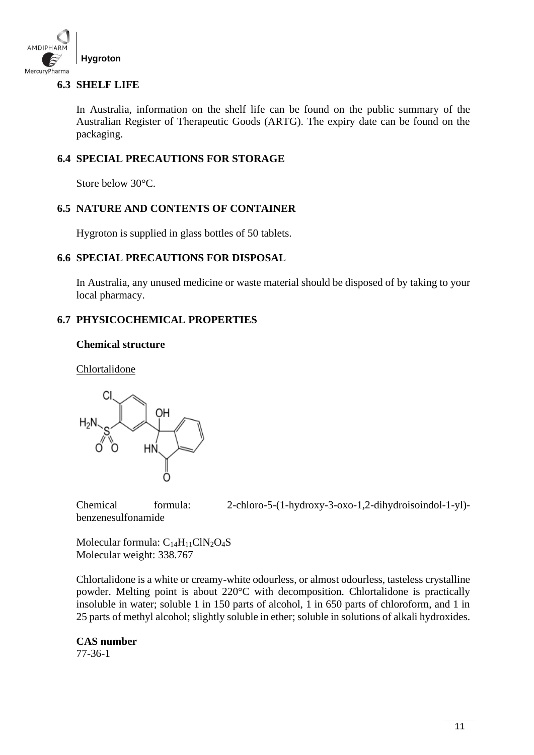

## **6.3 SHELF LIFE**

In Australia, information on the shelf life can be found on the public summary of the Australian Register of Therapeutic Goods (ARTG). The expiry date can be found on the packaging.

### **6.4 SPECIAL PRECAUTIONS FOR STORAGE**

Store below 30°C.

#### **6.5 NATURE AND CONTENTS OF CONTAINER**

Hygroton is supplied in glass bottles of 50 tablets.

#### **6.6 SPECIAL PRECAUTIONS FOR DISPOSAL**

In Australia, any unused medicine or waste material should be disposed of by taking to your local pharmacy.

#### **6.7 PHYSICOCHEMICAL PROPERTIES**

#### **Chemical structure**

Chlortalidone



benzenesulfonamide

Chemical formula: 2-chloro-5-(1-hydroxy-3-oxo-1,2-dihydroisoindol-1-yl)-

Molecular formula:  $C_{14}H_{11}CIN_2O_4S$ Molecular weight: 338.767

Chlortalidone is a white or creamy-white odourless, or almost odourless, tasteless crystalline powder. Melting point is about 220°C with decomposition. Chlortalidone is practically insoluble in water; soluble 1 in 150 parts of alcohol, 1 in 650 parts of chloroform, and 1 in 25 parts of methyl alcohol; slightly soluble in ether; soluble in solutions of alkali hydroxides.

## **CAS number**

77-36-1